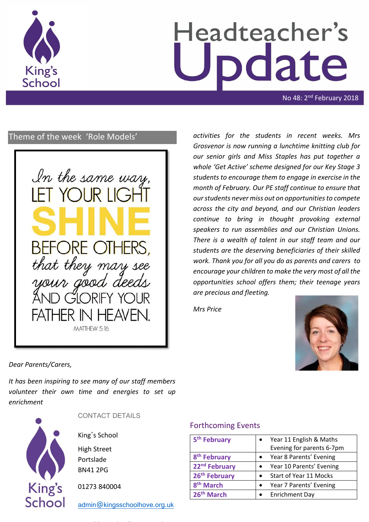

# Headteacher's date

No 48: 2<sup>nd</sup> February 2018

# Theme of the week 'Role Models'



*activities for the students in recent weeks. Mrs Grosvenor is now running a lunchtime knitting club for our senior girls and Miss Staples has put together a whole 'Get Active' scheme designed for our Key Stage 3 students to encourage them to engage in exercise in the month of February. Our PE staff continue to ensure that our students never miss out on opportunities to compete across the city and beyond, and our Christian leaders continue to bring in thought provoking external speakers to run assemblies and our Christian Unions. There is a wealth of talent in our staff team and our students are the deserving beneficiaries of their skilled work. Thank you for all you do as parents and carers to encourage your children to make the very most of all the opportunities school offers them; their teenage years are precious and fleeting.* 

*Mrs Price* 



*Dear Parents/Carers,*

*It has been inspiring to see many of our staff members volunteer their own time and energies to set up enrichment* 



CONTACT DETAILS

King's School

High Street Portslade BN41 2PG

01273 840004

[admin@kingsschoolhove.org.uk](mailto:admin@kingsschoolhove.org.uk)

### Forthcoming Events

| 5 <sup>th</sup> February  |           | Year 11 English & Maths   |  |
|---------------------------|-----------|---------------------------|--|
|                           |           | Evening for parents 6-7pm |  |
| 8 <sup>th</sup> February  |           | Year 8 Parents' Evening   |  |
| 22 <sup>nd</sup> February |           | Year 10 Parents' Evening  |  |
| 26 <sup>th</sup> February |           | Start of Year 11 Mocks    |  |
| 8 <sup>th</sup> March     | $\bullet$ | Year 7 Parents' Evening   |  |
| 26 <sup>th</sup> March    |           | <b>Enrichment Day</b>     |  |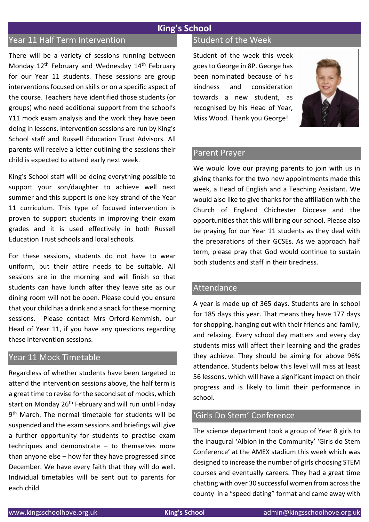# **King's School**

# Year 11 Half Term Intervention

There will be a variety of sessions running between Monday 12<sup>th</sup> February and Wednesday 14<sup>th</sup> February for our Year 11 students. These sessions are group interventions focused on skills or on a specific aspect of the course. Teachers have identified those students (or groups) who need additional support from the school's Y11 mock exam analysis and the work they have been doing in lessons. Intervention sessions are run by King's School staff and Russell Education Trust Advisors. All parents will receive a letter outlining the sessions their child is expected to attend early next week.

King's School staff will be doing everything possible to support your son/daughter to achieve well next summer and this support is one key strand of the Year 11 curriculum. This type of focused intervention is proven to support students in improving their exam grades and it is used effectively in both Russell Education Trust schools and local schools.

For these sessions, students do not have to wear uniform, but their attire needs to be suitable. All sessions are in the morning and will finish so that students can have lunch after they leave site as our dining room will not be open. Please could you ensure that your child has a drink and a snack for these morning sessions. Please contact Mrs Orford-Kemmish, our Head of Year 11, if you have any questions regarding these intervention sessions.

#### Year 11 Mock Timetable

Regardless of whether students have been targeted to attend the intervention sessions above, the half term is a great time to revise for the second set of mocks, which start on Monday 26<sup>th</sup> February and will run until Friday 9<sup>th</sup> March. The normal timetable for students will be suspended and the exam sessions and briefings will give a further opportunity for students to practise exam techniques and demonstrate – to themselves more than anyone else – how far they have progressed since December. We have every faith that they will do well. Individual timetables will be sent out to parents for each child.

#### Student of the Week

Student of the week this week goes to George in 8P. George has been nominated because of his kindness and consideration towards a new student, as recognised by his Head of Year, Miss Wood. Thank you George!



#### Parent Prayer

We would love our praying parents to join with us in giving thanks for the two new appointments made this week, a Head of English and a Teaching Assistant. We would also like to give thanks for the affiliation with the Church of England Chichester Diocese and the opportunities that this will bring our school. Please also be praying for our Year 11 students as they deal with the preparations of their GCSEs. As we approach half term, please pray that God would continue to sustain both students and staff in their tiredness.

#### Attendance

A year is made up of 365 days. Students are in school for 185 days this year. That means they have 177 days for shopping, hanging out with their friends and family, and relaxing. Every school day matters and every day students miss will affect their learning and the grades they achieve. They should be aiming for above 96% attendance. Students below this level will miss at least 56 lessons, which will have a significant impact on their progress and is likely to limit their performance in school.

#### 'Girls Do Stem' Conference

The science department took a group of Year 8 girls to the inaugural 'Albion in the Community' 'Girls do Stem Conference' at the AMEX stadium this week which was designed to increase the number of girls choosing STEM courses and eventually careers. They had a great time chatting with over 30 successful women from across the county in a "speed dating" format and came away with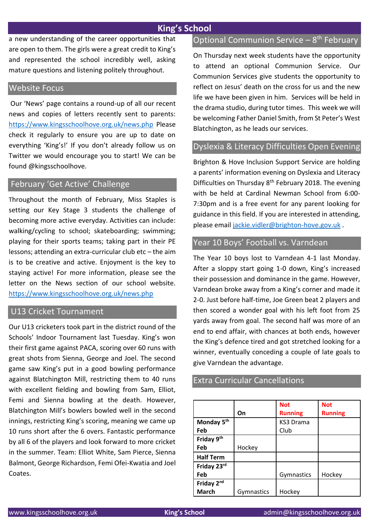# **King's School**

a new understanding of the career opportunities that are open to them. The girls were a great credit to King's and represented the school incredibly well, asking mature questions and listening politely throughout.

#### Website Focus

Our 'News' page contains a round-up of all our recent news and copies of letters recently sent to parents: <https://www.kingsschoolhove.org.uk/news.php> Please check it regularly to ensure you are up to date on everything 'King's!' If you don't already follow us on Twitter we would encourage you to start! We can be found @kingsschoolhove.

#### February 'Get Active' Challenge

Throughout the month of February, Miss Staples is setting our Key Stage 3 students the challenge of becoming more active everyday. Activities can include: walking/cycling to school; skateboarding; swimming; playing for their sports teams; taking part in their PE lessons; attending an extra-curricular club etc – the aim is to be creative and active. Enjoyment is the key to staying active! For more information, please see the letter on the News section of our school website. <https://www.kingsschoolhove.org.uk/news.php>

#### U13 Cricket Tournament

Our U13 cricketers took part in the district round of the Schools' Indoor Tournament last Tuesday. King's won their first game against PACA, scoring over 60 runs with great shots from Sienna, George and Joel. The second game saw King's put in a good bowling performance against Blatchington Mill, restricting them to 40 runs with excellent fielding and bowling from Sam, Elliot, Femi and Sienna bowling at the death. However, Blatchington Mill's bowlers bowled well in the second innings, restricting King's scoring, meaning we came up 10 runs short after the 6 overs. Fantastic performance by all 6 of the players and look forward to more cricket in the summer. Team: Elliot White, Sam Pierce, Sienna Balmont, George Richardson, Femi Ofei-Kwatia and Joel Coates.

# Optional Communion Service - 8<sup>th</sup> February

On Thursday next week students have the opportunity to attend an optional Communion Service. Our Communion Services give students the opportunity to reflect on Jesus' death on the cross for us and the new life we have been given in him. Services will be held in the drama studio, during tutor times. This week we will be welcoming Father Daniel Smith, from St Peter's West Blatchington, as he leads our services.

#### Dyslexia & Literacy Difficulties Open Evening

Brighton & Hove Inclusion Support Service are holding a parents' information evening on Dyslexia and Literacy Difficulties on Thursday  $8<sup>th</sup>$  February 2018. The evening with be held at Cardinal Newman School from 6:00- 7:30pm and is a free event for any parent looking for guidance in this field. If you are interested in attending, please email [jackie.vidler@brighton-hove.gov.uk](mailto:jackie.vidler@brighton-hove.gov.uk) .

#### Year 10 Boys' Football vs. Varndean

The Year 10 boys lost to Varndean 4-1 last Monday. After a sloppy start going 1-0 down, King's increased their possession and dominance in the game. However, Varndean broke away from a King's corner and made it 2-0. Just before half-time, Joe Green beat 2 players and then scored a wonder goal with his left foot from 25 yards away from goal. The second half was more of an end to end affair, with chances at both ends, however the King's defence tired and got stretched looking for a winner, eventually conceding a couple of late goals to give Varndean the advantage.

#### Extra Curricular Cancellations

|                        |            | <b>Not</b>     | <b>Not</b>     |
|------------------------|------------|----------------|----------------|
|                        | On         | <b>Running</b> | <b>Running</b> |
| Monday 5 <sup>th</sup> |            | KS3 Drama      |                |
| Feb                    |            | Club           |                |
| Friday 9th             |            |                |                |
| Feb                    | Hockey     |                |                |
| <b>Half Term</b>       |            |                |                |
| Friday 23rd            |            |                |                |
| Feb                    |            | Gymnastics     | Hockey         |
| Friday 2nd             |            |                |                |
| <b>March</b>           | Gymnastics | Hockey         |                |